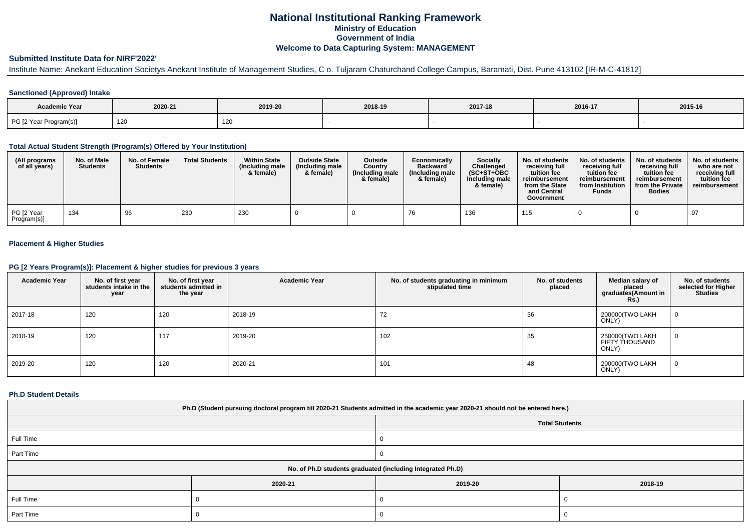# **National Institutional Ranking FrameworkMinistry of Education Government of IndiaWelcome to Data Capturing System: MANAGEMENT**

### **Submitted Institute Data for NIRF'2022'**

# Institute Name: Anekant Education Societys Anekant Institute of Management Studies, C o. Tuljaram Chaturchand College Campus, Baramati, Dist. Pune 413102 [IR-M-C-41812]

### **Sanctioned (Approved) Intake**

| <b>Academic Year</b>   |         |         |         |         |         |         |
|------------------------|---------|---------|---------|---------|---------|---------|
|                        | 2020-21 | 2019-20 | 2018-19 | 2017-18 | 2016-17 | 2015-16 |
| PG [2 Year Program(s)] | 120     | 120     |         |         |         |         |

#### **Total Actual Student Strength (Program(s) Offered by Your Institution)**

| (All programs<br>of all years) | No. of Male<br><b>Students</b> | No. of Female<br><b>Students</b> | <b>Total Students</b> | <b>Within State</b><br>(Including male<br>& female) | <b>Outside State</b><br>(Including male<br>& female) | <b>Outside</b><br>Country<br>(Including male<br>& female) | Economically<br><b>Backward</b><br>(Including male<br>& female) | Socially<br>Challenged<br>$(SC+ST+OBC)$<br>Including male<br>& female) | No. of students<br>receiving full<br>tuition fee<br>reimbursement<br>from the State<br>and Central<br>Government | No. of students<br>receiving full<br>tuition fee<br>reimbursement<br>from Institution<br><b>Funds</b> | No. of students<br>receiving full<br>tuition fee<br>reimbursement<br>from the Private<br><b>Bodies</b> | No. of students<br>who are not<br>receiving full<br>tuition fee<br>reimbursement |
|--------------------------------|--------------------------------|----------------------------------|-----------------------|-----------------------------------------------------|------------------------------------------------------|-----------------------------------------------------------|-----------------------------------------------------------------|------------------------------------------------------------------------|------------------------------------------------------------------------------------------------------------------|-------------------------------------------------------------------------------------------------------|--------------------------------------------------------------------------------------------------------|----------------------------------------------------------------------------------|
| PG [2 Year<br>Program(s)]      | 134                            | 96                               | 230                   | 230                                                 |                                                      |                                                           |                                                                 | 136                                                                    | 115                                                                                                              |                                                                                                       |                                                                                                        | 97                                                                               |

### **Placement & Higher Studies**

#### **PG [2 Years Program(s)]: Placement & higher studies for previous 3 years**

| <b>Academic Year</b> | No. of first year<br>students intake in the<br>year | No. of first year<br>students admitted in<br>the year | <b>Academic Year</b> | No. of students graduating in minimum<br>stipulated time | No. of students<br>placed | Median salary of<br>placed<br>graduates(Amount in<br><b>Rs.)</b> | No. of students<br>selected for Higher<br><b>Studies</b> |
|----------------------|-----------------------------------------------------|-------------------------------------------------------|----------------------|----------------------------------------------------------|---------------------------|------------------------------------------------------------------|----------------------------------------------------------|
| 2017-18              | 120                                                 | 120                                                   | 2018-19              | 72                                                       | 36                        | 200000(TWO LAKH<br>ONLY)                                         | 0                                                        |
| 2018-19              | 120                                                 | 117                                                   | 2019-20              | 102                                                      | 35                        | 250000(TWO LAKH<br>FIFTY THOUSAND<br>ONLY)                       | 0                                                        |
| 2019-20              | 120                                                 | 120                                                   | 2020-21              | 101                                                      | 48                        | 200000(TWO LAKH<br>ONLY)                                         | 0                                                        |

### **Ph.D Student Details**

| Ph.D (Student pursuing doctoral program till 2020-21 Students admitted in the academic year 2020-21 should not be entered here.) |                                                            |         |         |  |  |  |  |  |
|----------------------------------------------------------------------------------------------------------------------------------|------------------------------------------------------------|---------|---------|--|--|--|--|--|
|                                                                                                                                  | <b>Total Students</b>                                      |         |         |  |  |  |  |  |
| Full Time                                                                                                                        |                                                            |         |         |  |  |  |  |  |
| Part Time                                                                                                                        |                                                            |         |         |  |  |  |  |  |
|                                                                                                                                  | No. of Ph.D students graduated (including Integrated Ph.D) |         |         |  |  |  |  |  |
|                                                                                                                                  | 2020-21                                                    | 2019-20 | 2018-19 |  |  |  |  |  |
| Full Time                                                                                                                        |                                                            |         |         |  |  |  |  |  |
| Part Time                                                                                                                        |                                                            |         |         |  |  |  |  |  |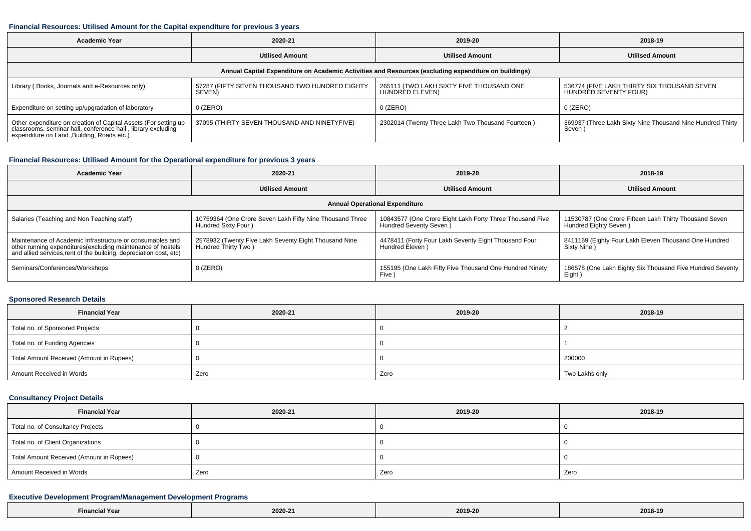#### **Financial Resources: Utilised Amount for the Capital expenditure for previous 3 years**

| <b>Academic Year</b>                                                                                                                                                           | 2020-21                                                  | 2019-20                                                     | 2018-19                                                              |  |  |  |  |  |
|--------------------------------------------------------------------------------------------------------------------------------------------------------------------------------|----------------------------------------------------------|-------------------------------------------------------------|----------------------------------------------------------------------|--|--|--|--|--|
|                                                                                                                                                                                | <b>Utilised Amount</b>                                   | <b>Utilised Amount</b>                                      | <b>Utilised Amount</b>                                               |  |  |  |  |  |
| Annual Capital Expenditure on Academic Activities and Resources (excluding expenditure on buildings)                                                                           |                                                          |                                                             |                                                                      |  |  |  |  |  |
| Library (Books, Journals and e-Resources only)                                                                                                                                 | 57287 (FIFTY SEVEN THOUSAND TWO HUNDRED EIGHTY<br>SEVEN) | 265111 (TWO LAKH SIXTY FIVE THOUSAND ONE<br>HUNDRED ELEVEN) | 536774 (FIVE LAKH THIRTY SIX THOUSAND SEVEN<br>HUNDRED SEVENTY FOUR) |  |  |  |  |  |
| Expenditure on setting up/upgradation of laboratory                                                                                                                            | $0$ (ZERO)                                               | 0 (ZERO)                                                    | 0 (ZERO)                                                             |  |  |  |  |  |
| Other expenditure on creation of Capital Assets (For setting up<br>classrooms, seminar hall, conference hall, library excluding<br>expenditure on Land , Building, Roads etc.) | 37095 (THIRTY SEVEN THOUSAND AND NINETYFIVE)             | 2302014 (Twenty Three Lakh Two Thousand Fourteen)           | 369937 (Three Lakh Sixty Nine Thousand Nine Hundred Thirty<br>Seven) |  |  |  |  |  |

## **Financial Resources: Utilised Amount for the Operational expenditure for previous 3 years**

| Academic Year                                                                                                                                                                                   | 2020-21                                                                         | 2019-20                                                                             | 2018-19                                                                         |  |  |  |  |  |
|-------------------------------------------------------------------------------------------------------------------------------------------------------------------------------------------------|---------------------------------------------------------------------------------|-------------------------------------------------------------------------------------|---------------------------------------------------------------------------------|--|--|--|--|--|
|                                                                                                                                                                                                 | <b>Utilised Amount</b>                                                          | <b>Utilised Amount</b>                                                              | <b>Utilised Amount</b>                                                          |  |  |  |  |  |
| <b>Annual Operational Expenditure</b>                                                                                                                                                           |                                                                                 |                                                                                     |                                                                                 |  |  |  |  |  |
| Salaries (Teaching and Non Teaching staff)                                                                                                                                                      | 10759364 (One Crore Seven Lakh Fifty Nine Thousand Three<br>Hundred Sixty Four) | 10843577 (One Crore Eight Lakh Forty Three Thousand Five<br>Hundred Seventy Seven ) | 11530787 (One Crore Fifteen Lakh Thirty Thousand Seven<br>Hundred Eighty Seven) |  |  |  |  |  |
| Maintenance of Academic Infrastructure or consumables and<br>other running expenditures (excluding maintenance of hostels<br>and allied services, rent of the building, depreciation cost, etc) | 2578932 (Twenty Five Lakh Seventy Eight Thousand Nine<br>Hundred Thirty Two)    | 4478411 (Forty Four Lakh Seventy Eight Thousand Four<br>Hundred Eleven )            | 8411169 (Eighty Four Lakh Eleven Thousand One Hundred<br>Sixty Nine)            |  |  |  |  |  |
| Seminars/Conferences/Workshops                                                                                                                                                                  | $0$ (ZERO)                                                                      | 155195 (One Lakh Fifty Five Thousand One Hundred Ninety<br>Five \                   | 186578 (One Lakh Eighty Six Thousand Five Hundred Seventy<br>Eight)             |  |  |  |  |  |

## **Sponsored Research Details**

| <b>Financial Year</b>                    | 2020-21 | 2019-20 | 2018-19        |  |
|------------------------------------------|---------|---------|----------------|--|
| Total no. of Sponsored Projects          |         |         |                |  |
| Total no. of Funding Agencies            |         |         |                |  |
| Total Amount Received (Amount in Rupees) |         |         | 200000         |  |
| Amount Received in Words                 | Zero    | Zero    | Two Lakhs only |  |

## **Consultancy Project Details**

| <b>Financial Year</b>                    | 2020-21 | 2019-20 | 2018-19 |
|------------------------------------------|---------|---------|---------|
| Total no. of Consultancy Projects        |         |         |         |
| Total no. of Client Organizations        |         |         |         |
| Total Amount Received (Amount in Rupees) |         |         |         |
| Amount Received in Words                 | Zero    | Zero    | Zero    |

### **Executive Development Program/Management Development Programs**

| Il Year<br>∠inanci <i>r</i> | 2020-21 | 2019-2<br>. | 2018-19<br>---- -- |
|-----------------------------|---------|-------------|--------------------|
|-----------------------------|---------|-------------|--------------------|